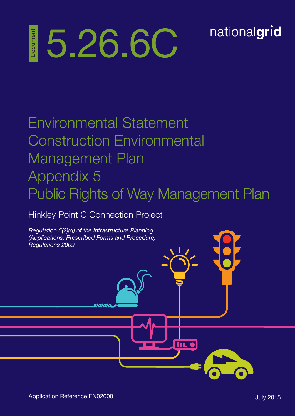# 5.26.6C

### Environmental Statement Construction Environmental Management Plan Appendix 5 Public Rights of Way Management Plan

Hinkley Point C Connection Project

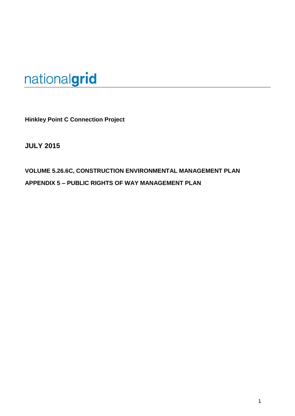

**Hinkley Point C Connection Project**

**JULY 2015**

**VOLUME 5.26.6C, CONSTRUCTION ENVIRONMENTAL MANAGEMENT PLAN APPENDIX 5 – PUBLIC RIGHTS OF WAY MANAGEMENT PLAN**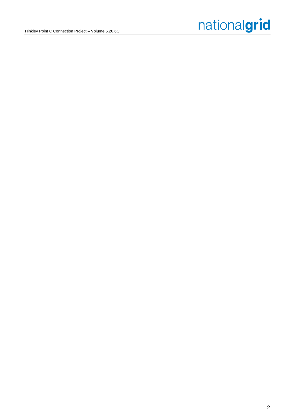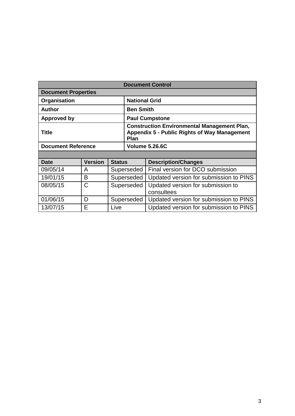| <b>Document Control</b>     |                |               |                                                 |                                                                                                           |  |  |
|-----------------------------|----------------|---------------|-------------------------------------------------|-----------------------------------------------------------------------------------------------------------|--|--|
| <b>Document Properties</b>  |                |               |                                                 |                                                                                                           |  |  |
| Organisation                |                |               |                                                 | <b>National Grid</b>                                                                                      |  |  |
| <b>Author</b>               |                |               |                                                 | <b>Ben Smith</b>                                                                                          |  |  |
| Approved by                 |                |               |                                                 | <b>Paul Cumpstone</b>                                                                                     |  |  |
| <b>Title</b><br>Plan        |                |               |                                                 | <b>Construction Environmental Management Plan,</b><br><b>Appendix 5 - Public Rights of Way Management</b> |  |  |
| <b>Document Reference</b>   |                |               |                                                 | <b>Volume 5.26.6C</b>                                                                                     |  |  |
|                             |                |               |                                                 |                                                                                                           |  |  |
| <b>Date</b>                 | <b>Version</b> | <b>Status</b> |                                                 | <b>Description/Changes</b>                                                                                |  |  |
| 09/05/14                    | A              |               | Superseded                                      | Final version for DCO submission                                                                          |  |  |
| 19/01/15                    | В              |               | Superseded                                      | Updated version for submission to PINS                                                                    |  |  |
| C<br>08/05/15<br>Superseded |                |               | Updated version for submission to<br>consultees |                                                                                                           |  |  |
| 01/06/15                    | D              |               | Superseded                                      | Updated version for submission to PINS                                                                    |  |  |
| 13/07/15                    | F              | Live          |                                                 | Updated version for submission to PINS                                                                    |  |  |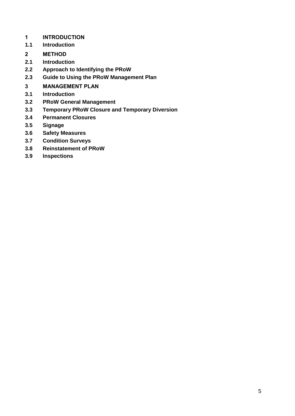- **1 [INTRODUCTION](#page-7-0)**
- **1.1 [Introduction](#page-7-1)**
- **2 [METHOD](#page-9-0)**
- **2.1 [Introduction](#page-9-1)**
- **2.2 [Approach to Identifying the PRoW](#page-9-2)**
- **2.3 [Guide to Using the PRoW Management Plan](#page-9-3)**
- **3 [MANAGEMENT PLAN](#page-17-0)**
- **3.1 [Introduction](#page-17-1)**
- **3.2 [PRoW General Management](#page-17-2)**
- **3.3 [Temporary PRoW Closure and Temporary Diversion](#page-17-3)**
- **3.4 [Permanent Closures](#page--1-0)**
- **3.5 [Signage](#page--1-1)**
- **3.6 [Safety Measures](#page--1-2)**
- **3.7 [Condition Surveys](#page-19-0)**
- **3.8 [Reinstatement of PRoW](#page-19-1)**
- **3.9 [Inspections](#page-19-2)**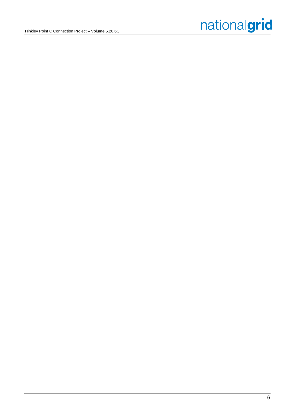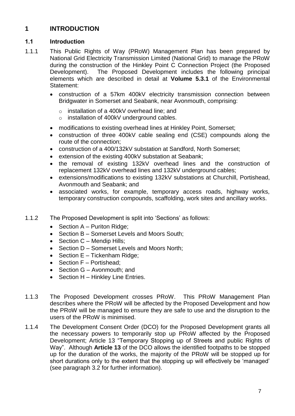### <span id="page-7-0"></span>**1 INTRODUCTION**

### <span id="page-7-1"></span>**1.1 Introduction**

- 1.1.1 This Public Rights of Way (PRoW) Management Plan has been prepared by National Grid Electricity Transmission Limited (National Grid) to manage the PRoW during the construction of the Hinkley Point C Connection Project (the Proposed Development). The Proposed Development includes the following principal elements which are described in detail at **Volume 5.3.1** of the Environmental Statement:
	- construction of a 57km 400kV electricity transmission connection between Bridgwater in Somerset and Seabank, near Avonmouth, comprising:
		- o installation of a 400kV overhead line; and
		- o installation of 400kV underground cables.
	- modifications to existing overhead lines at Hinkley Point, Somerset;
	- construction of three 400kV cable sealing end (CSE) compounds along the route of the connection;
	- construction of a 400/132kV substation at Sandford, North Somerset;
	- extension of the existing 400kV substation at Seabank;
	- the removal of existing 132kV overhead lines and the construction of replacement 132kV overhead lines and 132kV underground cables;
	- extensions/modifications to existing 132kV substations at Churchill, Portishead, Avonmouth and Seabank; and
	- associated works, for example, temporary access roads, highway works, temporary construction compounds, scaffolding, work sites and ancillary works.
- 1.1.2 The Proposed Development is split into 'Sections' as follows:
	- Section A Puriton Ridge;
	- Section B Somerset Levels and Moors South;
	- Section C Mendip Hills:
	- Section D Somerset Levels and Moors North;
	- Section  $E Tickenham Ridge;$
	- Section F Portishead:
	- Section G Avonmouth; and
	- Section H Hinkley Line Entries.
- 1.1.3 The Proposed Development crosses PRoW. This PRoW Management Plan describes where the PRoW will be affected by the Proposed Development and how the PRoW will be managed to ensure they are safe to use and the disruption to the users of the PRoW is minimised.
- 1.1.4 The Development Consent Order (DCO) for the Proposed Development grants all the necessary powers to temporarily stop up PRoW affected by the Proposed Development; Article 13 "Temporary Stopping up of Streets and public Rights of Way". Although **Article 13** of the DCO allows the identified footpaths to be stopped up for the duration of the works, the majority of the PRoW will be stopped up for short durations only to the extent that the stopping up will effectively be 'managed' (see paragraph 3.2 for further information).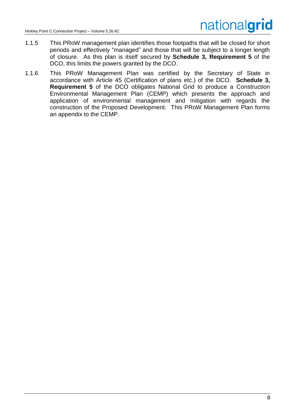- 1.1.5 This PRoW management plan identifies those footpaths that will be closed for short periods and effectively "managed" and those that will be subject to a longer length of closure. As this plan is itself secured by **Schedule 3, Requirement 5** of the DCO, this limits the powers granted by the DCO.
- 1.1.6 This PRoW Management Plan was certified by the Secretary of State in accordance with Article 45 (Certification of plans etc.) of the DCO. **Schedule 3, Requirement 5** of the DCO obligates National Grid to produce a Construction Environmental Management Plan (CEMP) which presents the approach and application of environmental management and mitigation with regards the construction of the Proposed Development. This PRoW Management Plan forms an appendix to the CEMP.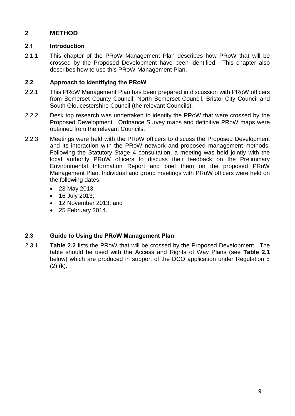### <span id="page-9-0"></span>**2 METHOD**

### <span id="page-9-1"></span>**2.1 Introduction**

2.1.1 This chapter of the PRoW Management Plan describes how PRoW that will be crossed by the Proposed Development have been identified. This chapter also describes how to use this PRoW Management Plan.

### <span id="page-9-2"></span>**2.2 Approach to Identifying the PRoW**

- 2.2.1 This PRoW Management Plan has been prepared in discussion with PRoW officers from Somerset County Council, North Somerset Council, Bristol City Council and South Gloucestershire Council (the relevant Councils).
- 2.2.2 Desk top research was undertaken to identify the PRoW that were crossed by the Proposed Development. Ordnance Survey maps and definitive PRoW maps were obtained from the relevant Councils.
- 2.2.3 Meetings were held with the PRoW officers to discuss the Proposed Development and its interaction with the PRoW network and proposed management methods. Following the Statutory Stage 4 consultation, a meeting was held jointly with the local authority PRoW officers to discuss their feedback on the Preliminary Environmental Information Report and brief them on the proposed PRoW Management Plan. Individual and group meetings with PRoW officers were held on the following dates:
	- 23 May 2013;
	- 16 July 2013;
	- 12 November 2013; and
	- 25 February 2014.

### <span id="page-9-3"></span>**2.3 Guide to Using the PRoW Management Plan**

2.3.1 **Table 2.2** lists the PRoW that will be crossed by the Proposed Development. The table should be used with the Access and Rights of Way Plans (see **Table 2.1** below) which are produced in support of the DCO application under Regulation 5 (2) (k).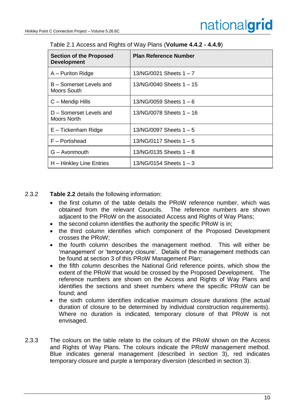| <b>Section of the Proposed</b><br><b>Development</b> | <b>Plan Reference Number</b> |  |  |
|------------------------------------------------------|------------------------------|--|--|
| A – Puriton Ridge                                    | 13/NG/0021 Sheets $1 - 7$    |  |  |
| B – Somerset Levels and<br><b>Moors South</b>        | 13/NG/0040 Sheets 1 - 15     |  |  |
| C – Mendip Hills                                     | 13/NG/0059 Sheets $1 - 6$    |  |  |
| D – Somerset Levels and<br>Moors North               | 13/NG/0078 Sheets 1 - 16     |  |  |
| E - Tickenham Ridge                                  | 13/NG/0097 Sheets $1 - 5$    |  |  |
| F – Portishead                                       | 13/NG/0117 Sheets $1 - 5$    |  |  |
| G - Avonmouth                                        | 13/NG/0135 Sheets $1 - 8$    |  |  |
| H - Hinkley Line Entries                             | 13/NG/0154 Sheets $1 - 3$    |  |  |

#### Table 2.1 Access and Rights of Way Plans (**Volume 4.4.2 - 4.4.9**)

### 2.3.2 **Table 2.2** details the following information:

- the first column of the table details the PRoW reference number, which was obtained from the relevant Councils. The reference numbers are shown adjacent to the PRoW on the associated Access and Rights of Way Plans;
- the second column identifies the authority the specific PRoW is in;
- the third column identifies which component of the Proposed Development crosses the PRoW;
- the fourth column describes the management method. This will either be 'management' or 'temporary closure'. Details of the management methods can be found at section 3 of this PRoW Management Plan;
- the fifth column describes the National Grid reference points, which show the extent of the PRoW that would be crossed by the Proposed Development. The reference numbers are shown on the Access and Rights of Way Plans and identifies the sections and sheet numbers where the specific PRoW can be found; and
- the sixth column identifies indicative maximum closure durations (the actual duration of closure to be determined by individual construction requirements). Where no duration is indicated, temporary closure of that PRoW is not envisaged.
- 2.3.3 The colours on the table relate to the colours of the PRoW shown on the Access and Rights of Way Plans. The colours indicate the PRoW management method. Blue indicates general management (described in section 3), red indicates temporary closure and purple a temporary diversion (described in section 3).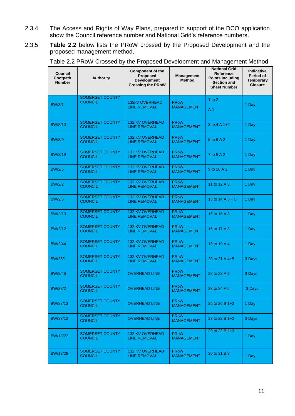- 2.3.4 The Access and Rights of Way Plans, prepared in support of the DCO application show the Council reference number and National Grid's reference numbers.
- 2.3.5 **Table 2.2** below lists the PRoW crossed by the Proposed Development and the proposed management method.

| <b>Council</b><br>Footpath<br><b>Number</b> | <b>Authority</b>                         | Component of the<br><b>Proposed</b><br><b>Development</b><br><b>Crossing the PRoW</b> | <b>Management</b><br><b>Method</b> | <b>National Grid</b><br>Reference<br><b>Points including</b><br><b>Section and</b><br><b>Sheet Number</b> | <b>Indicative</b><br>Period of<br><b>Temporary</b><br><b>Closure</b> |
|---------------------------------------------|------------------------------------------|---------------------------------------------------------------------------------------|------------------------------------|-----------------------------------------------------------------------------------------------------------|----------------------------------------------------------------------|
| <b>BW/3/1</b>                               | SOMERSET COUNTY<br><b>COUNCIL</b>        | <b>132kV OVERHEAD</b><br><b>LINE REMOVAL</b>                                          | <b>PRoW</b><br><b>MANAGEMENT</b>   | 1 to $2$<br>A <sub>1</sub>                                                                                | 1 Day                                                                |
| BW/8/10                                     | <b>SOMERSET COUNTY</b><br><b>COUNCIL</b> | <b>132 KV OVERHEAD</b><br><b>LINE REMOVAL</b>                                         | <b>PRoW</b><br><b>MANAGEMENT</b>   | 3 to 4 A $1+2$                                                                                            | 1 Day                                                                |
| <b>BW/8/9</b>                               | <b>SOMERSET COUNTY</b><br><b>COUNCIL</b> | <b>132 KV OVERHEAD</b><br><b>LINE REMOVAL</b>                                         | <b>PRoW</b><br><b>MANAGEMENT</b>   | 5 to 6 A 2                                                                                                | 1 Day                                                                |
| BW/8/19                                     | <b>SOMERSET COUNTY</b><br><b>COUNCIL</b> | <b>132 KV OVERHEAD</b><br><b>LINE REMOVAL</b>                                         | <b>PRoW</b><br><b>MANAGEMENT</b>   | 7 to 8 A 2                                                                                                | 1 Day                                                                |
| <b>BW/2/5</b>                               | <b>SOMERSET COUNTY</b><br><b>COUNCIL</b> | <b>132 KV OVERHEAD</b><br><b>LINE REMOVAL</b>                                         | <b>PRoW</b><br><b>MANAGEMENT</b>   | 9 to 10 A 2                                                                                               | 1 Day                                                                |
| <b>BW/2/2</b>                               | <b>SOMERSET COUNTY</b><br><b>COUNCIL</b> | <b>132 KV OVERHEAD</b><br><b>LINE REMOVAL</b>                                         | <b>PRoW</b><br><b>MANAGEMENT</b>   | 11 to 12 A 3                                                                                              | 1 Day                                                                |
| <b>BW/2/3</b>                               | <b>SOMERSET COUNTY</b><br><b>COUNCIL</b> | <b>132 KV OVERHEAD</b><br><b>LINE REMOVAL</b>                                         | <b>PRoW</b><br><b>MANAGEMENT</b>   | 13 to $14A3 + 5$                                                                                          | 1 Day                                                                |
| BW/2/13                                     | <b>SOMERSET COUNTY</b><br><b>COUNCIL</b> | <b>132 KV OVERHEAD</b><br><b>LINE REMOVAL</b>                                         | <b>PRoW</b><br><b>MANAGEMENT</b>   | 15 to 16 A 3                                                                                              | 1 Day                                                                |
| BW/2/12                                     | <b>SOMERSET COUNTY</b><br><b>COUNCIL</b> | <b>132 KV OVERHEAD</b><br><b>LINE REMOVAL</b>                                         | <b>PRoW</b><br><b>MANAGEMENT</b>   | 16 to 17 A 3                                                                                              | 1 Day                                                                |
| <b>BW/2/44</b>                              | <b>SOMERSET COUNTY</b><br><b>COUNCIL</b> | <b>132 KV OVERHEAD</b><br><b>LINE REMOVAL</b>                                         | <b>PRoW</b><br><b>MANAGEMENT</b>   | 18 to 19 A 4                                                                                              | 1 Day                                                                |
| <b>BW/28/1</b>                              | <b>SOMERSET COUNTY</b><br><b>COUNCIL</b> | <b>132 KV OVERHEAD</b><br><b>LINE REMOVAL</b>                                         | <b>PRoW</b><br><b>MANAGEMENT</b>   | 20 to 21 A 4+5                                                                                            | 3 Days                                                               |
| <b>BW/2/46</b>                              | <b>SOMERSET COUNTY</b><br><b>COUNCIL</b> | <b>OVERHEAD LINE</b>                                                                  | <b>PRoW</b><br><b>MANAGEMENT</b>   | 22 to 23 A 5                                                                                              | 3 Days                                                               |
| <b>BW/28/2</b>                              | <b>SOMERSET COUNTY</b><br><b>COUNCIL</b> | <b>OVERHEAD LINE</b>                                                                  | <b>PRoW</b><br>MANAGEMENT          | 23 to 24 A 5                                                                                              | 3 Days                                                               |
| BW/37/13                                    | <b>SOMERSET COUNTY</b><br><b>COUNCIL</b> | <b>OVERHEAD LINE</b>                                                                  | <b>PRoW</b><br><b>MANAGEMENT</b>   | 25 to 26 B 1+2                                                                                            | 1 Day                                                                |
| BW/37/12                                    | SOMERSET COUNTY<br><b>COUNCIL</b>        | <b>OVERHEAD LINE</b>                                                                  | <b>PRoW</b><br><b>MANAGEMENT</b>   | 27 to 28 B 1+2                                                                                            | 3 Days                                                               |
| BW/13/22                                    | <b>SOMERSET COUNTY</b><br><b>COUNCIL</b> | <b>132 KV OVERHEAD</b><br><b>LINE REMOVAL</b>                                         | <b>PRoW</b><br><b>MANAGEMENT</b>   | 29 to 32 B 2+3                                                                                            | 1 Day                                                                |
| BW/13/28                                    | SOMERSET COUNTY<br><b>COUNCIL</b>        | <b>132 KV OVERHEAD</b><br><b>LINE REMOVAL</b>                                         | <b>PRoW</b><br><b>MANAGEMENT</b>   | 30 to 31 B 3                                                                                              | 1 Day                                                                |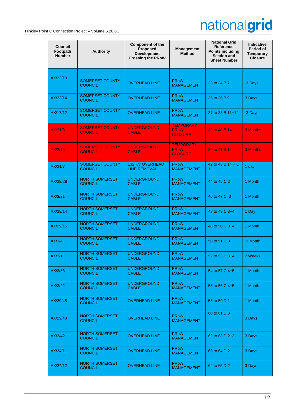## nationalgrid

| <b>Council</b><br>Footpath<br><b>Number</b> | <b>Authority</b>                         | <b>Component of the</b><br>Proposed<br><b>Development</b><br><b>Crossing the PRoW</b> | Management<br><b>Method</b>                       | <b>National Grid</b><br>Reference<br><b>Points including</b><br><b>Section and</b><br><b>Sheet Number</b> | <b>Indicative</b><br>Period of<br><b>Temporary</b><br><b>Closure</b> |
|---------------------------------------------|------------------------------------------|---------------------------------------------------------------------------------------|---------------------------------------------------|-----------------------------------------------------------------------------------------------------------|----------------------------------------------------------------------|
| AX/23/10                                    | <b>SOMERSET COUNTY</b><br><b>COUNCIL</b> | <b>OVERHEAD LINE</b>                                                                  | <b>PRoW</b><br><b>MANAGEMENT</b>                  | 33 to 34 B 7                                                                                              | 3 Days                                                               |
| AX/23/14                                    | <b>SOMERSET COUNTY</b><br><b>COUNCIL</b> | <b>OVERHEAD LINE</b>                                                                  | <b>PRoW</b><br><b>MANAGEMENT</b>                  | 35 to 36 B 9                                                                                              | 3 Days                                                               |
| AX/17/12                                    | <b>SOMERSET COUNTY</b><br><b>COUNCIL</b> | <b>OVERHEAD LINE</b>                                                                  | <b>PRoW</b><br><b>MANAGEMENT</b>                  | 37 to 38 B 11+12                                                                                          | 3 Days                                                               |
| AX/21/3                                     | <b>SOMERSET COUNTY</b><br><b>COUNCIL</b> | <b>UNDERGROUND</b><br><b>CABLE</b>                                                    | <b>TEMPORARY</b><br><b>PRoW</b><br><b>CLOSURE</b> | 39 to 40 B 14                                                                                             | 3 Months                                                             |
| <b>AX/2/15</b>                              | <b>SOMERSET COUNTY</b><br><b>COUNCIL</b> | <b>UNDERGROUND</b><br><b>CABLE</b>                                                    | <b>TEMPORARY</b><br><b>PRoW</b><br><b>CLOSURE</b> | 39 to 41 B 14                                                                                             | 3 Months                                                             |
| AX/21/7                                     | <b>SOMERSET COUNTY</b><br><b>COUNCIL</b> | <b>132 KV OVERHEAD</b><br><b>LINE REMOVAL</b>                                         | <b>PRoW</b><br><b>MANAGEMENT</b>                  | 42 to 43 B $14 + C$<br>1                                                                                  | 1 day                                                                |
| AX/29/28                                    | <b>NORTH SOMERSET</b><br><b>COUNCIL</b>  | <b>UNDERGROUND</b><br><b>CABLE</b>                                                    | <b>PRoW</b><br><b>MANAGEMENT</b>                  | 44 to 45 C 2                                                                                              | 1 Month                                                              |
| AX/3/21                                     | <b>NORTH SOMERSET</b><br><b>COUNCIL</b>  | <b>UNDERGROUND</b><br><b>CABLE</b>                                                    | <b>PRoW</b><br><b>MANAGEMENT</b>                  | 46 to 47 C 3                                                                                              | 1 Month                                                              |
| AX/29/14                                    | <b>NORTH SOMERSET</b><br><b>COUNCIL</b>  | <b>UNDERGROUND</b><br><b>CABLE</b>                                                    | <b>PRoW</b><br><b>MANAGEMENT</b>                  | 48 to 49 C 3+4                                                                                            | 1 Day                                                                |
| AX/29/16                                    | <b>NORTH SOMERSET</b><br><b>COUNCIL</b>  | <b>UNDERGROUND</b><br><b>CABLE</b>                                                    | <b>PRoW</b><br><b>MANAGEMENT</b>                  | 48 to 50 C 3+4                                                                                            | 1 Month                                                              |
| AX/3/4                                      | <b>NORTH SOMERSET</b><br><b>COUNCIL</b>  | <b>UNDERGROUND</b><br><b>CABLE</b>                                                    | <b>PRoW</b><br><b>MANAGEMENT</b>                  | 50 to 51 C 3                                                                                              | 1 Month                                                              |
| AX/3/1                                      | <b>NORTH SOMERSET</b><br><b>COUNCIL</b>  | <b>UNDERGROUND</b><br><b>CABLE</b>                                                    | <b>PRoW</b><br><b>MANAGEMENT</b>                  | 52 to 53 C 3+4                                                                                            | 2 Weeks                                                              |
| AX/3/53                                     | <b>NORTH SOMERSET</b><br><b>COUNCIL</b>  | <b>UNDERGROUND</b><br><b>CABLE</b>                                                    | <b>PRoW</b><br><b>MANAGEMENT</b>                  | 54 to 57 C 4+5                                                                                            | 1 Month                                                              |
| AX/3/22                                     | <b>NORTH SOMERSET</b><br><b>COUNCIL</b>  | <b>UNDERGROUND</b><br><b>CABLE</b>                                                    | <b>PRoW</b><br><b>MANAGEMENT</b>                  | 55 to 56 C 4+5                                                                                            | 1 Month                                                              |
| AX/29/48                                    | <b>NORTH SOMERSET</b><br><b>COUNCIL</b>  | <b>OVERHEAD LINE</b>                                                                  | <b>PRoW</b><br><b>MANAGEMENT</b>                  | 58 to 59 D 1                                                                                              | 1 Month                                                              |
| AX/29/48                                    | <b>NORTH SOMERSET</b><br><b>COUNCIL</b>  | <b>OVERHEAD LINE</b>                                                                  | <b>PRoW</b><br><b>MANAGEMENT</b>                  | 60 to 61 D 3                                                                                              | 3 Days                                                               |
| AX/3/42                                     | <b>NORTH SOMERSET</b><br><b>COUNCIL</b>  | <b>OVERHEAD LINE</b>                                                                  | <b>PRoW</b><br><b>MANAGEMENT</b>                  | 62 to 63 D 2+3                                                                                            | 3 Days                                                               |
| AX/24/11                                    | <b>NORTH SOMERSET</b><br><b>COUNCIL</b>  | <b>OVERHEAD LINE</b>                                                                  | <b>PRoW</b><br><b>MANAGEMENT</b>                  | 63 to 64 D 2                                                                                              | 3 Days                                                               |
| AX/24/12                                    | <b>NORTH SOMERSET</b><br><b>COUNCIL</b>  | <b>OVERHEAD LINE</b>                                                                  | <b>PRoW</b><br><b>MANAGEMENT</b>                  | 64 to 65 D 2                                                                                              | 3 Days                                                               |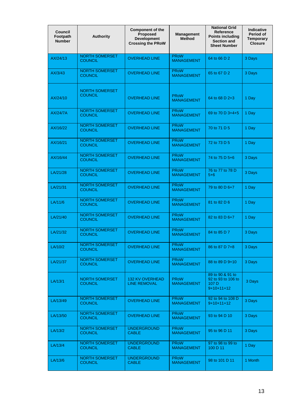| <b>Council</b><br>Footpath<br><b>Number</b> | <b>Authority</b>                        | <b>Component of the</b><br><b>Proposed</b><br><b>Development</b><br><b>Crossing the PRoW</b> | <b>Management</b><br><b>Method</b> | <b>National Grid</b><br>Reference<br><b>Points including</b><br><b>Section and</b><br><b>Sheet Number</b> | <b>Indicative</b><br>Period of<br><b>Temporary</b><br><b>Closure</b> |
|---------------------------------------------|-----------------------------------------|----------------------------------------------------------------------------------------------|------------------------------------|-----------------------------------------------------------------------------------------------------------|----------------------------------------------------------------------|
| AX/24/13                                    | <b>NORTH SOMERSET</b><br><b>COUNCIL</b> | <b>OVERHEAD LINE</b>                                                                         | <b>PRoW</b><br><b>MANAGEMENT</b>   | 64 to 66 D 2                                                                                              | 3 Days                                                               |
| AX/3/43                                     | <b>NORTH SOMERSET</b><br><b>COUNCIL</b> | <b>OVERHEAD LINE</b>                                                                         | <b>PRoW</b><br><b>MANAGEMENT</b>   | 65 to 67 D 2                                                                                              | 3 Days                                                               |
| AX/24/10                                    | <b>NORTH SOMERSET</b><br><b>COUNCIL</b> | <b>OVERHEAD LINE</b>                                                                         | <b>PRoW</b><br><b>MANAGEMENT</b>   | 64 to 68 D 2+3                                                                                            | 1 Day                                                                |
| <b>AX/24/7A</b>                             | <b>NORTH SOMERSET</b><br><b>COUNCIL</b> | <b>OVERHEAD LINE</b>                                                                         | <b>PRoW</b><br><b>MANAGEMENT</b>   | 69 to 70 D 3+4+5                                                                                          | 1 Day                                                                |
| AX/16/22                                    | <b>NORTH SOMERSET</b><br><b>COUNCIL</b> | <b>OVERHEAD LINE</b>                                                                         | <b>PRoW</b><br><b>MANAGEMENT</b>   | 70 to 71 D 5                                                                                              | 1 Day                                                                |
| AX/16/21                                    | <b>NORTH SOMERSET</b><br><b>COUNCIL</b> | <b>OVERHEAD LINE</b>                                                                         | <b>PRoW</b><br><b>MANAGEMENT</b>   | 72 to 73 D 5                                                                                              | 1 Day                                                                |
| AX/16/44                                    | <b>NORTH SOMERSET</b><br><b>COUNCIL</b> | <b>OVERHEAD LINE</b>                                                                         | <b>PRoW</b><br><b>MANAGEMENT</b>   | 74 to 75 D 5+6                                                                                            | 3 Days                                                               |
| LA/21/28                                    | <b>NORTH SOMERSET</b><br><b>COUNCIL</b> | <b>OVERHEAD LINE</b>                                                                         | <b>PRoW</b><br><b>MANAGEMENT</b>   | 76 to 77 to 78 D<br>$5 + 6$                                                                               | 3 Days                                                               |
| LA/21/31                                    | <b>NORTH SOMERSET</b><br><b>COUNCIL</b> | <b>OVERHEAD LINE</b>                                                                         | <b>PRoW</b><br><b>MANAGEMENT</b>   | 79 to 80 D 6+7                                                                                            | 1 Day                                                                |
| LA/11/6                                     | <b>NORTH SOMERSET</b><br><b>COUNCIL</b> | <b>OVERHEAD LINE</b>                                                                         | <b>PRoW</b><br><b>MANAGEMENT</b>   | 81 to 82 D 6                                                                                              | 1 Day                                                                |
| LA/21/40                                    | <b>NORTH SOMERSET</b><br><b>COUNCIL</b> | <b>OVERHEAD LINE</b>                                                                         | <b>PRoW</b><br><b>MANAGEMENT</b>   | 82 to 83 D 6+7                                                                                            | 1 Day                                                                |
| LA/21/32                                    | <b>NORTH SOMERSET</b><br><b>COUNCIL</b> | <b>OVERHEAD LINE</b>                                                                         | <b>PRoW</b><br><b>MANAGEMENT</b>   | 84 to 85 D 7                                                                                              | 3 Days                                                               |
| LA/10/2                                     | <b>NORTH SOMERSET</b><br><b>COUNCIL</b> | OVERHEAD LINE                                                                                | <b>PRoW</b><br><b>MANAGEMENT</b>   | 86 to 87 D 7+8                                                                                            | 3 Days                                                               |
| LA/21/37                                    | <b>NORTH SOMERSET</b><br><b>COUNCIL</b> | <b>OVERHEAD LINE</b>                                                                         | <b>PRoW</b><br><b>MANAGEMENT</b>   | 88 to 89 D 9+10                                                                                           | 3 Days                                                               |
| LA/13/1                                     | <b>NORTH SOMERSET</b><br><b>COUNCIL</b> | <b>132 KV OVERHEAD</b><br>LINE REMOVAL                                                       | <b>PRoW</b><br><b>MANAGEMENT</b>   | 89 to 90 & 91 to<br>92 to 93 to 106 to<br>107 D<br>$9+10+11+12$                                           | 3 Days                                                               |
| LA/13/49                                    | <b>NORTH SOMERSET</b><br><b>COUNCIL</b> | <b>OVERHEAD LINE</b>                                                                         | <b>PRoW</b><br><b>MANAGEMENT</b>   | 92 to 94 to 108 D<br>$9+10+11+12$                                                                         | 3 Days                                                               |
| LA/13/50                                    | <b>NORTH SOMERSET</b><br><b>COUNCIL</b> | <b>OVERHEAD LINE</b>                                                                         | <b>PRoW</b><br><b>MANAGEMENT</b>   | 93 to 94 D 10                                                                                             | 3 Days                                                               |
| LA/13/2                                     | <b>NORTH SOMERSET</b><br><b>COUNCIL</b> | <b>UNDERGROUND</b><br><b>CABLE</b>                                                           | <b>PRoW</b><br><b>MANAGEMENT</b>   | 95 to 96 D 11                                                                                             | 3 Days                                                               |
| LA/13/4                                     | <b>NORTH SOMERSET</b><br><b>COUNCIL</b> | <b>UNDERGROUND</b><br><b>CABLE</b>                                                           | <b>PRoW</b><br><b>MANAGEMENT</b>   | 97 to 98 to 99 to<br>100 D 11                                                                             | 1 Day                                                                |
| LA/13/6                                     | <b>NORTH SOMERSET</b><br><b>COUNCIL</b> | <b>UNDERGROUND</b><br><b>CABLE</b>                                                           | <b>PRoW</b><br><b>MANAGEMENT</b>   | 98 to 101 D 11                                                                                            | 1 Month                                                              |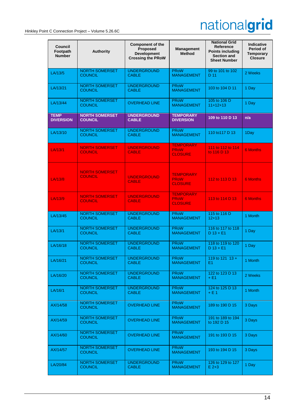## nationalgrid

| <b>Council</b><br>Footpath<br><b>Number</b> | <b>Authority</b>                        | <b>Component of the</b><br><b>Proposed</b><br><b>Development</b><br><b>Crossing the PRoW</b> | <b>Management</b><br><b>Method</b>                | <b>National Grid</b><br>Reference<br><b>Points including</b><br><b>Section and</b><br><b>Sheet Number</b> | <b>Indicative</b><br>Period of<br><b>Temporary</b><br><b>Closure</b> |
|---------------------------------------------|-----------------------------------------|----------------------------------------------------------------------------------------------|---------------------------------------------------|-----------------------------------------------------------------------------------------------------------|----------------------------------------------------------------------|
| LA/13/5                                     | <b>NORTH SOMERSET</b><br><b>COUNCIL</b> | <b>UNDERGROUND</b><br><b>CABLE</b>                                                           | <b>PRoW</b><br><b>MANAGEMENT</b>                  | 99 to 101 to 102<br>D 11                                                                                  | 2 Weeks                                                              |
| LA/13/21                                    | <b>NORTH SOMERSET</b><br><b>COUNCIL</b> | <b>UNDERGROUND</b><br><b>CABLE</b>                                                           | <b>PRoW</b><br><b>MANAGEMENT</b>                  | 103 to 104 D 11                                                                                           | 1 Day                                                                |
| LA/13/44                                    | NORTH SOMERSET<br><b>COUNCIL</b>        | <b>OVERHEAD LINE</b>                                                                         | <b>PRoW</b><br><b>MANAGEMENT</b>                  | 105 to 106 D<br>$11+12+13$                                                                                | 1 Day                                                                |
| <b>TEMP</b><br><b>DIVERSION</b>             | <b>NORTH SOMERSET</b><br><b>COUNCIL</b> | <b>UNDERGROUND</b><br><b>CABLE</b>                                                           | <b>TEMPORARY</b><br><b>DIVERSION</b>              | 109 to 110 D 13                                                                                           | n/a                                                                  |
| LA/13/10                                    | <b>NORTH SOMERSET</b><br><b>COUNCIL</b> | <b>UNDERGROUND</b><br><b>CABLE</b>                                                           | <b>PRoW</b><br><b>MANAGEMENT</b>                  | 110 to 117 D 13                                                                                           | 1Day                                                                 |
| LA/13/1                                     | <b>NORTH SOMERSET</b><br><b>COUNCIL</b> | <b>UNDERGROUND</b><br><b>CABLE</b>                                                           | <b>TEMPORARY</b><br><b>PRoW</b><br><b>CLOSURE</b> | 111 to 112 to 114<br>to 116 D 13                                                                          | <b>6 Months</b>                                                      |
| LA/13/8                                     | <b>NORTH SOMERSET</b><br><b>COUNCIL</b> | <b>UNDERGROUND</b><br><b>CABLE</b>                                                           | <b>TEMPORARY</b><br><b>PRoW</b><br><b>CLOSURE</b> | 112 to 113 D 13                                                                                           | <b>6 Months</b>                                                      |
| LA/13/9                                     | <b>NORTH SOMERSET</b><br><b>COUNCIL</b> | <b>UNDERGROUND</b><br><b>CABLE</b>                                                           | <b>TEMPORARY</b><br><b>PRoW</b><br><b>CLOSURE</b> | 113 to 114 D 13                                                                                           | <b>6 Months</b>                                                      |
| LA/13/45                                    | <b>NORTH SOMERSET</b><br><b>COUNCIL</b> | <b>UNDERGROUND</b><br><b>CABLE</b>                                                           | <b>PRoW</b><br><b>MANAGEMENT</b>                  | 115 to 116 D<br>$12 + 13$                                                                                 | 1 Month                                                              |
| LA/13/1                                     | <b>NORTH SOMERSET</b><br><b>COUNCIL</b> | <b>UNDERGROUND</b><br><b>CABLE</b>                                                           | <b>PRoW</b><br><b>MANAGEMENT</b>                  | 116 to 117 to 118<br>$D$ 13 + E1                                                                          | 1 Day                                                                |
| LA/16/18                                    | <b>NORTH SOMERSET</b><br><b>COUNCIL</b> | <b>UNDERGROUND</b><br><b>CABLE</b>                                                           | <b>PRoW</b><br><b>MANAGEMENT</b>                  | 118 to 119 to 120<br>$D$ 13 + E1                                                                          | 1 Day                                                                |
| LA/16/21                                    | <b>NORTH SOMERSET</b><br><b>COUNCIL</b> | <b>UNDERGROUND</b><br><b>CABLE</b>                                                           | <b>PRoW</b><br><b>MANAGEMENT</b>                  | 119 to 121 13 +<br>E1                                                                                     | 1 Month                                                              |
| LA/16/20                                    | <b>NORTH SOMERSET</b><br><b>COUNCIL</b> | <b>UNDERGROUND</b><br><b>CABLE</b>                                                           | <b>PRoW</b><br><b>MANAGEMENT</b>                  | 122 to 123 D 13<br>$+ E1$                                                                                 | 2 Weeks                                                              |
| LA/16/1                                     | <b>NORTH SOMERSET</b><br><b>COUNCIL</b> | <b>UNDERGROUND</b><br><b>CABLE</b>                                                           | <b>PRoW</b><br><b>MANAGEMENT</b>                  | 124 to 125 D 13<br>$+E1$                                                                                  | 1 Month                                                              |
| AX/14/58                                    | <b>NORTH SOMERSET</b><br><b>COUNCIL</b> | <b>OVERHEAD LINE</b>                                                                         | <b>PRoW</b><br><b>MANAGEMENT</b>                  | 189 to 190 D 15                                                                                           | 3 Days                                                               |
| AX/14/59                                    | <b>NORTH SOMERSET</b><br><b>COUNCIL</b> | <b>OVERHEAD LINE</b>                                                                         | <b>PRoW</b><br><b>MANAGEMENT</b>                  | 191 to 189 to 194<br>to 192 D 15                                                                          | 3 Days                                                               |
| AX/14/60                                    | <b>NORTH SOMERSET</b><br><b>COUNCIL</b> | <b>OVERHEAD LINE</b>                                                                         | <b>PRoW</b><br><b>MANAGEMENT</b>                  | 191 to 193 D 15                                                                                           | 3 Days                                                               |
| AX/14/57                                    | <b>NORTH SOMERSET</b><br><b>COUNCIL</b> | <b>OVERHEAD LINE</b>                                                                         | <b>PRoW</b><br><b>MANAGEMENT</b>                  | 193 to 194 D 15                                                                                           | 3 Days                                                               |
| LA/20/84                                    | <b>NORTH SOMERSET</b><br><b>COUNCIL</b> | <b>UNDERGROUND</b><br><b>CABLE</b>                                                           | <b>PRoW</b><br><b>MANAGEMENT</b>                  | 126 to 129 to 127<br>$E2+3$                                                                               | 1 Day                                                                |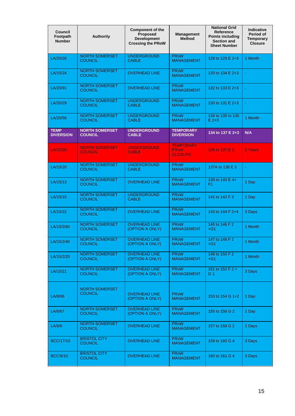| <b>Council</b><br>Footpath<br><b>Number</b> | <b>Authority</b>                        | <b>Component of the</b><br><b>Proposed</b><br><b>Development</b><br><b>Crossing the PRoW</b> | <b>Management</b><br><b>Method</b>                | <b>National Grid</b><br>Reference<br><b>Points including</b><br><b>Section and</b><br><b>Sheet Number</b> | <b>Indicative</b><br>Period of<br><b>Temporary</b><br><b>Closure</b> |
|---------------------------------------------|-----------------------------------------|----------------------------------------------------------------------------------------------|---------------------------------------------------|-----------------------------------------------------------------------------------------------------------|----------------------------------------------------------------------|
| LA/20/26                                    | <b>NORTH SOMERSET</b><br><b>COUNCIL</b> | <b>UNDERGROUND</b><br><b>CABLE</b>                                                           | <b>PRoW</b><br><b>MANAGEMENT</b>                  | 128 to 129 E 2+3                                                                                          | 1 Month                                                              |
| LA/15/24                                    | <b>NORTH SOMERSET</b><br><b>COUNCIL</b> | <b>OVERHEAD LINE</b>                                                                         | <b>PRoW</b><br><b>MANAGEMENT</b>                  | 133 to 134 E 2+3                                                                                          | Ξ                                                                    |
| LA/20/91                                    | <b>NORTH SOMERSET</b><br><b>COUNCIL</b> | <b>OVERHEAD LINE</b>                                                                         | <b>PRoW</b><br><b>MANAGEMENT</b>                  | 132 to 133 E 2+3                                                                                          | Ξ                                                                    |
| LA/20/29                                    | <b>NORTH SOMERSET</b><br><b>COUNCIL</b> | <b>UNDERGROUND</b><br><b>CABLE</b>                                                           | <b>PRoW</b><br><b>MANAGEMENT</b>                  | 130 to 131 E 2+3                                                                                          | ÷,                                                                   |
| LA/20/56                                    | <b>NORTH SOMERSET</b><br><b>COUNCIL</b> | <b>UNDERGROUND</b><br><b>CABLE</b>                                                           | <b>PRoW</b><br><b>MANAGEMENT</b>                  | 134 to 135 to 136<br>$E2+3$                                                                               | 1 Month                                                              |
| <b>TEMP</b><br><b>DIVERSION</b>             | <b>NORTH SOMERSET</b><br><b>COUNCIL</b> | <b>UNDERGROUND</b><br><b>CABLE</b>                                                           | <b>TEMPORARY</b><br><b>DIVERSION</b>              | 134 to 137 E 2+3                                                                                          | N/A                                                                  |
| LA/15/20                                    | <b>NORTH SOMERSET</b><br><b>COUNCIL</b> | <b>UNDERGROUND</b><br><b>CABLE</b>                                                           | <b>TEMPORARY</b><br><b>PRoW</b><br><b>CLOSURE</b> | 135 to 137 E 3                                                                                            | 2 Years                                                              |
| LA/15/20                                    | <b>NORTH SOMERSET</b><br><b>COUNCIL</b> | <b>UNDERGROUND</b><br><b>CABLE</b>                                                           | <b>PRoW</b><br><b>MANAGEMENT</b>                  | 137A to 138 E 3                                                                                           | ÷                                                                    |
| LA/15/13                                    | <b>NORTH SOMERSET</b><br><b>COUNCIL</b> | <b>OVERHEAD LINE</b>                                                                         | <b>PRoW</b><br><b>MANAGEMENT</b>                  | 139 to 140 E 4+<br>F <sub>1</sub>                                                                         | 1 Day                                                                |
| LA/15/15                                    | <b>NORTH SOMERSET</b><br><b>COUNCIL</b> | <b>UNDERGROUND</b><br><b>CABLE</b>                                                           | <b>PRoW</b><br><b>MANAGEMENT</b>                  | 141 to 142 F 3                                                                                            | 1 Day                                                                |
| LA/15/22                                    | <b>NORTH SOMERSET</b><br><b>COUNCIL</b> | <b>OVERHEAD LINE</b>                                                                         | <b>PRoW</b><br><b>MANAGEMENT</b>                  | 143 to 144 F 2+4                                                                                          | 3 Days                                                               |
| LA/15/2/60                                  | <b>NORTH SOMERSET</b><br><b>COUNCIL</b> | <b>OVERHEAD LINE</b><br>(OPTION A ONLY)                                                      | <b>PRoW</b><br><b>MANAGEMENT</b>                  | 145 to 146 F 2<br>$+G1$                                                                                   | 1 Month                                                              |
| LA/15/2/40                                  | <b>NORTH SOMERSET</b><br><b>COUNCIL</b> | <b>OVERHEAD LINE</b><br>(OPTION A ONLY)                                                      | <b>PRoW</b><br><b>MANAGEMENT</b>                  | 147 to 148 F 2<br>+G1                                                                                     | 1 Month                                                              |
| LA/15/2/20                                  | <b>NORTH SOMERSET</b><br><b>COUNCIL</b> | <b>OVERHEAD LINE</b><br>(OPTION A ONLY)                                                      | <b>PRoW</b><br><b>MANAGEMENT</b>                  | 149 to 150 F 2<br>$+G1$                                                                                   | 1 Month                                                              |
| LA/15/21                                    | <b>NORTH SOMERSET</b><br><b>COUNCIL</b> | <b>OVERHEAD LINE</b><br>(OPTION A ONLY)                                                      | <b>PRoW</b><br><b>MANAGEMENT</b>                  | 151 to 152 F $2 +$<br>G 1                                                                                 | 3 Days                                                               |
| LA/8/66                                     | <b>NORTH SOMERSET</b><br><b>COUNCIL</b> | <b>OVERHEAD LINE</b><br>(OPTION A ONLY)                                                      | <b>PRoW</b><br><b>MANAGEMENT</b>                  | 153 to 154 G 1+2                                                                                          | 1 Day                                                                |
| LA/8/67                                     | <b>NORTH SOMERSET</b><br><b>COUNCIL</b> | <b>OVERHEAD LINE</b><br>(OPTION A ONLY)                                                      | <b>PRoW</b><br><b>MANAGEMENT</b>                  | 155 to 156 G 2                                                                                            | 1 Day                                                                |
| LA/8/6                                      | <b>NORTH SOMERSET</b><br><b>COUNCIL</b> | <b>OVERHEAD LINE</b>                                                                         | <b>PRoW</b><br><b>MANAGEMENT</b>                  | 157 to 158 G 2                                                                                            | 2 Days                                                               |
| <b>BCC/17/10</b>                            | <b>BRISTOL CITY</b><br><b>COUNCIL</b>   | <b>OVERHEAD LINE</b>                                                                         | <b>PRoW</b><br><b>MANAGEMENT</b>                  | 159 to 160 G 4                                                                                            | 3 Days                                                               |
| <b>BCC/6/10</b>                             | <b>BRISTOL CITY</b><br><b>COUNCIL</b>   | <b>OVERHEAD LINE</b>                                                                         | <b>PRoW</b><br><b>MANAGEMENT</b>                  | 160 to 161 G 4                                                                                            | 3 Days                                                               |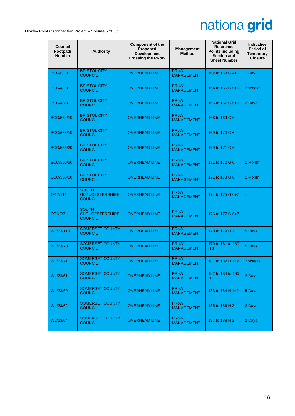## nationalgrid

| Council<br>Footpath<br><b>Number</b> | <b>Authority</b>                                         | <b>Component of the</b><br><b>Proposed</b><br><b>Development</b><br><b>Crossing the PRoW</b> | Management<br><b>Method</b>      | <b>National Grid</b><br><b>Reference</b><br><b>Points including</b><br><b>Section and</b><br><b>Sheet Number</b> | <b>Indicative</b><br>Period of<br><b>Temporary</b><br><b>Closure</b> |
|--------------------------------------|----------------------------------------------------------|----------------------------------------------------------------------------------------------|----------------------------------|------------------------------------------------------------------------------------------------------------------|----------------------------------------------------------------------|
| <b>BCC/5/10</b>                      | <b>BRISTOL CITY</b><br><b>COUNCIL</b>                    | <b>OVERHEAD LINE</b>                                                                         | <b>PRoW</b><br><b>MANAGEMENT</b> | 162 to 163 G 4+5                                                                                                 | 1 Day                                                                |
| <b>BCC/4/10</b>                      | <b>BRISTOL CITY</b><br><b>COUNCIL</b>                    | <b>OVERHEAD LINE</b>                                                                         | <b>PRoW</b><br><b>MANAGEMENT</b> | 164 to 165 G 5+6                                                                                                 | 2 Weeks                                                              |
| <b>BCC/4/20</b>                      | <b>BRISTOL CITY</b><br><b>COUNCIL</b>                    | <b>OVERHEAD LINE</b>                                                                         | <b>PRoW</b><br><b>MANAGEMENT</b> | 166 to 167 G 5+6                                                                                                 | 2 Days                                                               |
| BCC/554/10                           | <b>BRISTOL CITY</b><br><b>COUNCIL</b>                    | <b>OVERHEAD LINE</b>                                                                         | <b>PRoW</b><br><b>MANAGEMENT</b> | 168 to 169 G 6                                                                                                   | $\sim$                                                               |
| BCC/555/10                           | <b>BRISTOL CITY</b><br><b>COUNCIL</b>                    | <b>OVERHEAD LINE</b>                                                                         | <b>PRoW</b><br><b>MANAGEMENT</b> | 169 to 170 G 6                                                                                                   | ÷                                                                    |
| <b>BCC/555/20</b>                    | <b>BRISTOL CITY</b><br><b>COUNCIL</b>                    | <b>OVERHEAD LINE</b>                                                                         | <b>PRoW</b><br><b>MANAGEMENT</b> | 169 to 171 G 6                                                                                                   | $\sim$                                                               |
| BCC/556/20                           | <b>BRISTOL CITY</b><br><b>COUNCIL</b>                    | <b>OVERHEAD LINE</b>                                                                         | <b>PRoW</b><br><b>MANAGEMENT</b> | 171 to 172 G 6                                                                                                   | 1 Month                                                              |
| BCC/555/30                           | <b>BRISTOL CITY</b><br><b>COUNCIL</b>                    | <b>OVERHEAD LINE</b>                                                                         | <b>PRoW</b><br><b>MANAGEMENT</b> | 171 to 173 G 6                                                                                                   | 1 Month                                                              |
| <b>OAY/111</b>                       | <b>SOUTH</b><br><b>GLOUCESTERSHIRE</b><br><b>COUNCIL</b> | <b>OVERHEAD LINE</b>                                                                         | <b>PRoW</b><br><b>MANAGEMENT</b> | 174 to 175 G 6+7                                                                                                 | $\blacksquare$                                                       |
| <b>ORN/27</b>                        | <b>SOUTH</b><br><b>GLOUCESTERSHIRE</b><br><b>COUNCIL</b> | <b>OVERHEAD LINE</b>                                                                         | <b>PRoW</b><br><b>MANAGEMENT</b> | 176 to 177 G 6+7                                                                                                 | $\blacksquare$                                                       |
| WL/23/110                            | <b>SOMERSET COUNTY</b><br><b>COUNCIL</b>                 | <b>OVERHEAD LINE</b>                                                                         | <b>PRoW</b><br><b>MANAGEMENT</b> | 178 to 179 H 1                                                                                                   | 5 Days                                                               |
| <b>WL/23/70</b>                      | <b>SOMERSET COUNTY</b><br><b>COUNCIL</b>                 | <b>OVERHEAD LINE</b>                                                                         | <b>PRoW</b><br><b>MANAGEMENT</b> | 179 to 181 to 180<br>H <sub>1</sub>                                                                              | 5 Days                                                               |
| WL/23/71                             | <b>SOMERSET COUNTY</b><br><b>COUNCIL</b>                 | <b>OVERHEAD LINE</b>                                                                         | <b>PRoW</b><br><b>MANAGEMENT</b> | 181 to 182 H 1+2                                                                                                 | 2 Weeks                                                              |
| WL/23/61                             | SOMERSET COUNTY<br><b>COUNCIL</b>                        | <b>OVERHEAD LINE</b>                                                                         | <b>PRoW</b><br><b>MANAGEMENT</b> | 182 to 184 to 185<br>H <sub>2</sub>                                                                              | 2 Days                                                               |
| WL/23/60                             | SOMERSET COUNTY<br><b>COUNCIL</b>                        | <b>OVERHEAD LINE</b>                                                                         | <b>PRoW</b><br><b>MANAGEMENT</b> | 183 to 184 H 1+2                                                                                                 | 5 Days                                                               |
| WL/23/62                             | SOMERSET COUNTY<br><b>COUNCIL</b>                        | <b>OVERHEAD LINE</b>                                                                         | <b>PRoW</b><br><b>MANAGEMENT</b> | 185 to 186 H 2                                                                                                   | 2 Days                                                               |
| <b>WL/23/64</b>                      | <b>SOMERSET COUNTY</b><br><b>COUNCIL</b>                 | <b>OVERHEAD LINE</b>                                                                         | <b>PRoW</b><br><b>MANAGEMENT</b> | 187 to 188 H 2                                                                                                   | 2 Days                                                               |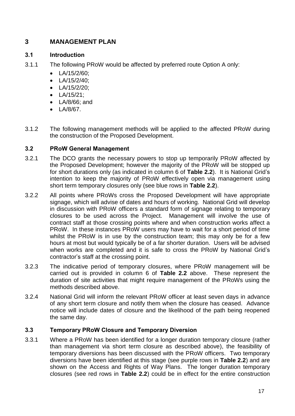### <span id="page-17-0"></span>**3 MANAGEMENT PLAN**

### <span id="page-17-1"></span>**3.1 Introduction**

- 3.1.1 The following PRoW would be affected by preferred route Option A only:
	- LA/15/2/60;
	- $-LA/15/2/40$ ;
	- LA/15/2/20;
	- LA/15/21:
	- LA/8/66; and
	- LA/8/67.
- 3.1.2 The following management methods will be applied to the affected PRoW during the construction of the Proposed Development.

### <span id="page-17-2"></span>**3.2 PRoW General Management**

- 3.2.1 The DCO grants the necessary powers to stop up temporarily PRoW affected by the Proposed Development; however the majority of the PRoW will be stopped up for short durations only (as indicated in column 6 of **Table 2.2**). It is National Grid's intention to keep the majority of PRoW effectively open via management using short term temporary closures only (see blue rows in **Table 2.2**).
- 3.2.2 All points where PRoWs cross the Proposed Development will have appropriate signage, which will advise of dates and hours of working. National Grid will develop in discussion with PRoW officers a standard form of signage relating to temporary closures to be used across the Project. Management will involve the use of contract staff at those crossing points where and when construction works affect a PRoW. In these instances PRoW users may have to wait for a short period of time whilst the PRoW is in use by the construction team; this may only be for a few hours at most but would typically be of a far shorter duration. Users will be advised when works are completed and it is safe to cross the PRoW by National Grid's contractor's staff at the crossing point.
- 3.2.3 The indicative period of temporary closures, where PRoW management will be carried out is provided in column 6 of **Table 2.2** above. These represent the duration of site activities that might require management of the PRoWs using the methods described above.
- 3.2.4 National Grid will inform the relevant PRoW officer at least seven days in advance of any short term closure and notify them when the closure has ceased. Advance notice will include dates of closure and the likelihood of the path being reopened the same day.

### <span id="page-17-3"></span>**3.3 Temporary PRoW Closure and Temporary Diversion**

3.3.1 Where a PRoW has been identified for a longer duration temporary closure (rather than management via short term closure as described above), the feasibility of temporary diversions has been discussed with the PRoW officers. Two temporary diversions have been identified at this stage (see purple rows in **Table 2.2**) and are shown on the Access and Rights of Way Plans. The longer duration temporary closures (see red rows in **Table 2.2**) could be in effect for the entire construction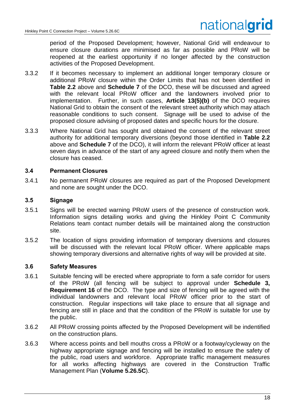

period of the Proposed Development; however, National Grid will endeavour to ensure closure durations are minimised as far as possible and PRoW will be reopened at the earliest opportunity if no longer affected by the construction activities of the Proposed Development.

- 3.3.2 If it becomes necessary to implement an additional longer temporary closure or additional PRoW closure within the Order Limits that has not been identified in **Table 2.2** above and **Schedule 7** of the DCO, these will be discussed and agreed with the relevant local PRoW officer and the landowners involved prior to implementation. Further, in such cases, **Article 13(5)(b)** of the DCO requires National Grid to obtain the consent of the relevant street authority which may attach reasonable conditions to such consent. Signage will be used to advise of the proposed closure advising of proposed dates and specific hours for the closure.
- 3.3.3 Where National Grid has sought and obtained the consent of the relevant street authority for additional temporary diversions (beyond those identified in **Table 2.2** above and **Schedule 7** of the DCO), it will inform the relevant PRoW officer at least seven days in advance of the start of any agreed closure and notify them when the closure has ceased.

### **3.4 Permanent Closures**

3.4.1 No permanent PRoW closures are required as part of the Proposed Development and none are sought under the DCO.

### **3.5 Signage**

- 3.5.1 Signs will be erected warning PRoW users of the presence of construction work. Information signs detailing works and giving the Hinkley Point C Community Relations team contact number details will be maintained along the construction site.
- 3.5.2 The location of signs providing information of temporary diversions and closures will be discussed with the relevant local PRoW officer. Where applicable maps showing temporary diversions and alternative rights of way will be provided at site.

### **3.6 Safety Measures**

- 3.6.1 Suitable fencing will be erected where appropriate to form a safe corridor for users of the PRoW (all fencing will be subject to approval under **Schedule 3, Requirement 16** of the DCO. The type and size of fencing will be agreed with the individual landowners and relevant local PRoW officer prior to the start of construction. Regular inspections will take place to ensure that all signage and fencing are still in place and that the condition of the PRoW is suitable for use by the public.
- 3.6.2 All PRoW crossing points affected by the Proposed Development will be indentified on the construction plans.
- 3.6.3 Where access points and bell mouths cross a PRoW or a footway/cycleway on the highway appropriate signage and fencing will be installed to ensure the safety of the public, road users and workforce. Appropriate traffic management measures for all works affecting highways are covered in the Construction Traffic Management Plan (**Volume 5.26.5C**).